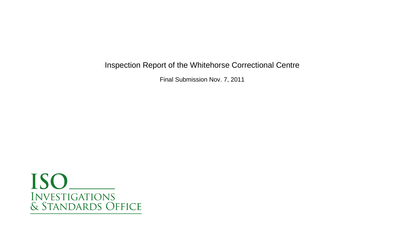Inspection Report of the Whitehorse Correctional Centre

Final Submission Nov. 7, 2011

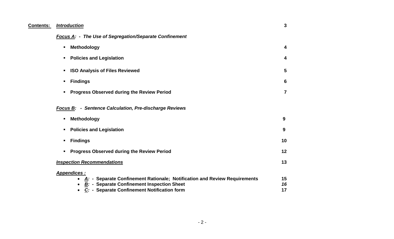| <b>Contents:</b> | <b>Introduction</b>                                                                                                                                                                                                       | 3              |
|------------------|---------------------------------------------------------------------------------------------------------------------------------------------------------------------------------------------------------------------------|----------------|
|                  | <b>Focus A: - The Use of Segregation/Separate Confinement</b>                                                                                                                                                             |                |
|                  | <b>Methodology</b><br>$\blacksquare$                                                                                                                                                                                      | 4              |
|                  | <b>Policies and Legislation</b><br>٠.                                                                                                                                                                                     | 4              |
|                  | <b>ISO Analysis of Files Reviewed</b><br>$\blacksquare$                                                                                                                                                                   | 5              |
|                  | <b>Findings</b><br>٠                                                                                                                                                                                                      | 6              |
|                  | <b>Progress Observed during the Review Period</b>                                                                                                                                                                         | $\overline{7}$ |
|                  | <b>Focus B: - Sentence Calculation, Pre-discharge Reviews</b>                                                                                                                                                             |                |
|                  | Methodology<br>$\blacksquare$                                                                                                                                                                                             | 9              |
|                  | <b>Policies and Legislation</b><br>٠                                                                                                                                                                                      | 9              |
|                  | <b>Findings</b><br>п                                                                                                                                                                                                      | 10             |
|                  | <b>Progress Observed during the Review Period</b><br>٠                                                                                                                                                                    | 12             |
|                  | <b>Inspection Recommendations</b>                                                                                                                                                                                         | 13             |
|                  | Appendices :<br>$\underline{A}$ : - Separate Confinement Rationale; Notification and Review Requirements<br><b>B:</b> - Separate Confinement Inspection Sheet<br>$\bullet$<br>C: - Separate Confinement Notification form | 15<br>16<br>17 |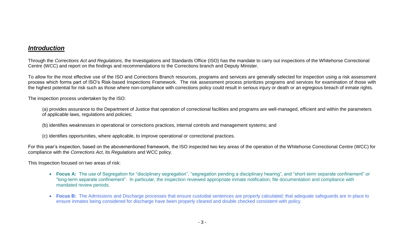#### *Introduction*

Through the *Corrections Act and Regulations*, the Investigations and Standards Office (ISO) has the mandate to carry out inspections of the Whitehorse Correctional Centre (WCC) and report on the findings and recommendations to the Corrections branch and Deputy Minister.

To allow for the most effective use of the ISO and Corrections Branch resources, programs and services are generally selected for inspection using a risk assessment process which forms part of ISO's Risk-based Inspections Framework. The risk assessment process prioritizes programs and services for examination of those with the highest potential for risk such as those where non-compliance with corrections policy could result in serious injury or death or an egregious breach of inmate rights.

The inspection process undertaken by the ISO:

(a) provides assurance to the Department of Justice that operation of correctional facilities and programs are well-managed, efficient and within the parameters of applicable laws, regulations and policies;

(b) identifies weaknesses in operational or corrections practices, internal controls and management systems; and

(c) identifies opportunities, where applicable, to improve operational or correctional practices.

For this year's inspection, based on the abovementioned framework, the ISO inspected two key areas of the operation of the Whitehorse Correctional Centre (WCC) for compliance with the *Corrections Act*, its *Regulations* and WCC policy.

This Inspection focused on two areas of risk:

- **Focus A:** The use of Segregation for "disciplinary segregation", "segregation pending a disciplinary hearing", and "short-term separate confinement" or "long-term separate confinement". In particular, the inspection reviewed appropriate inmate notification, file documentation and compliance with mandated review periods.
- **Focus B:** The Admissions and Discharge processes that ensure custodial sentences are properly calculated; that adequate safeguards are in place to ensure inmates being considered for discharge have been properly cleared and double checked consistent with policy.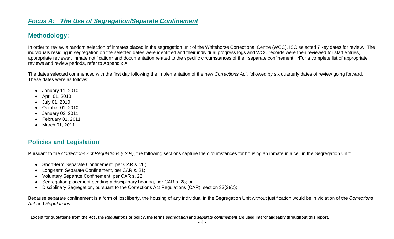### *Focus A: The Use of Segregation/Separate Confinement*

#### **Methodology:**

In order to review a random selection of inmates placed in the segregation unit of the Whitehorse Correctional Centre (WCC), ISO selected 7 key dates for review. The individuals residing in segregation on the selected dates were identified and their individual progress logs and WCC records were then reviewed for staff entries, appropriate reviews\*, inmate notification\* and documentation related to the specific circumstances of their separate confinement. \*For a complete list of appropriate reviews and review periods, refer to Appendix A.

The dates selected commenced with the first day following the implementation of the new *Corrections Act*, followed by six quarterly dates of review going forward. These dates were as follows:

- January 11, 2010
- April 01, 2010
- July 01, 2010
- October 01, 2010
- January 02, 2011
- February 01, 2011
- March 01, 2011

 $\overline{a}$ 

#### **Policies and Legislation<sup>1</sup>**

Pursuant to the *Corrections Act Regulations (CAR)*, the following sections capture the circumstances for housing an inmate in a cell in the Segregation Unit:

- Short-term Separate Confinement, per CAR s. 20;
- Long-term Separate Confinement, per CAR s. 21;
- Voluntary Separate Confinement, per CAR s. 22;
- Segregation placement pending a disciplinary hearing, per CAR s. 28; or
- Disciplinary Segregation, pursuant to the Corrections Act Regulations (CAR), section 33(3)(b);

Because separate confinement is a form of lost liberty, the housing of any individual in the Segregation Unit without justification would be in violation of the *Corrections Act* and *Regulations*.

 $^{\rm 1}$  Except for quotations from the *Act* , the *Regulations* or policy, the terms *segregation* and *separate confinement* are used interchangeably throughout this report.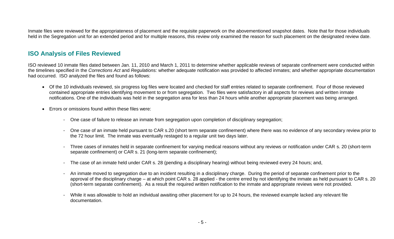Inmate files were reviewed for the appropriateness of placement and the requisite paperwork on the abovementioned snapshot dates. Note that for those individuals held in the Segregation unit for an extended period and for multiple reasons, this review only examined the reason for such placement on the designated review date.

#### **ISO Analysis of Files Reviewed**

ISO reviewed 10 inmate files dated between Jan. 11, 2010 and March 1, 2011 to determine whether applicable reviews of separate confinement were conducted within the timelines specified in the *Corrections Act* and *Regulations:* whether adequate notification was provided to affected inmates; and whether appropriate documentation had occurred. ISO analyzed the files and found as follows:

- Of the 10 individuals reviewed, six progress log files were located and checked for staff entries related to separate confinement. Four of those reviewed contained appropriate entries identifying movement to or from segregation. Two files were satisfactory in all aspects for reviews and written inmate notifications. One of the individuals was held in the segregation area for less than 24 hours while another appropriate placement was being arranged.
- Errors or omissions found within these files were:
	- One case of failure to release an inmate from segregation upon completion of disciplinary segregation;
	- One case of an inmate held pursuant to CAR s.20 (short term separate confinement) where there was no evidence of any secondary review prior to the 72 hour limit. The inmate was eventually restaged to a regular unit two days later.
	- Three cases of inmates held in separate confinement for varying medical reasons without any reviews or notification under CAR s. 20 (short-term separate confinement) or CAR s. 21 (long-term separate confinement);
	- The case of an inmate held under CAR s. 28 (pending a disciplinary hearing) without being reviewed every 24 hours; and,
	- An inmate moved to segregation due to an incident resulting in a disciplinary charge. During the period of separate confinement prior to the approval of the disciplinary charge – at which point CAR s. 28 applied - the centre erred by not identifying the inmate as held pursuant to CAR s. 20 (short-term separate confinement). As a result the required written notification to the inmate and appropriate reviews were not provided.
	- While it was allowable to hold an individual awaiting other placement for up to 24 hours, the reviewed example lacked any relevant file documentation.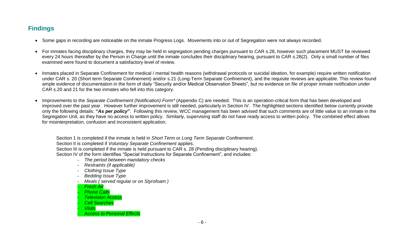# **Findings**

- Some gaps in recording are noticeable on the inmate Progress Logs. Movements into or out of Segregation were not always recorded.
- For inmates facing disciplinary charges, they may be held in segregation pending charges pursuant to CAR s.28, however such placement MUST be reviewed every 24 hours thereafter by the Person in Charge until the inmate concludes their disciplinary hearing, pursuant to CAR s.28(2). Only a small number of files examined were found to document a satisfactory level of review.
- Inmates placed in Separate Confinement for medical / mental health reasons (withdrawal protocols or suicidal ideation, for example) require written notification under CAR s. 20 (Short term Separate Confinement) and/or s.21 (Long-Term Separate Confinement), and the requisite reviews are applicable. This review found ample evidence of documentation in the form of daily "Security and/or Medical Observation Sheets", but no evidence on file of proper inmate notification under CAR s.20 and 21 for the two inmates who fell into this category.
- Improvements to the *Separate Confinement (Notification) Form\** (Appendix C) are needed. This is an operation-critical form that has been developed and improved over the past year. However further improvement is still needed, particularly in Section IV. The highlighted sections identified below currently provide only the following details: **"***As per policy***"**. Following this review, WCC management has been advised that such comments are of little value to an inmate in the Segregation Unit, as they have no access to written policy. Similarly, supervising staff do not have ready access to written policy. The combined effect allows for misinterpretation, confusion and inconsistent application.

Section 1 is completed if the inmate is held in *Short Term* or *Long Term Separate Confinement*. Section II is completed if *Voluntary Separate Confinement* applies. Section III is completed if the inmate is held pursuant to CAR s. 28 (Pending disciplinary hearing). Section IV of the form identifies "Special Instructions for Separate Confinement", and includes:

- *The period between mandatory checks*
- *Restraints (if applicable)*
- *Clothing Issue Type*
- *Bedding Issue Type*
- *Meals ( served regular or on Styrofoam )*
- *Fresh Air*
- **Phone Calls**
- *Television Access*
- *Cell Searches*
- *Visits*
- *Access to Personal Effects*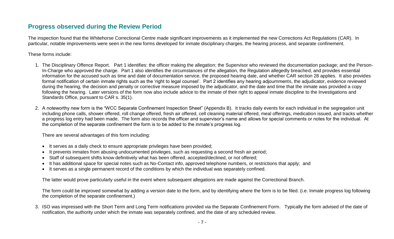#### **Progress observed during the Review Period**

The inspection found that the Whitehorse Correctional Centre made significant improvements as it implemented the new Corrections Act Regulations (CAR). In particular, notable improvements were seen in the new forms developed for inmate disciplinary charges, the hearing process, and separate confinement.

These forms include:

- 1. The Disciplinary Offence Report. Part 1 identifies: the officer making the allegation; the Supervisor who reviewed the documentation package; and the Person-In-Charge who approved the charge. Part 1 also identifies the circumstances of the allegation, the Regulation allegedly breached, and provides essential information for the accused such as time and date of documentation service, the proposed hearing date, and whether CAR section 28 applies. It also provides formal notification of certain inmate rights such as the 'right to legal counsel'. Part 2 identifies any hearing adjournments, the adjudicator, evidence reviewed during the hearing, the decision and penalty or corrective measure imposed by the adjudicator, and the date and time that the inmate was provided a copy following the hearing. Later versions of the form now also include advice to the inmate of their right to appeal inmate discipline to the Investigations and Standards Office, pursuant to CAR s. 35(1).
- 2. A noteworthy new form is the "WCC Separate Confinement Inspection Sheet" (Appendix B). It tracks daily events for each individual in the segregation unit including phone calls, shower offered, roll change offered, fresh air offered, cell cleaning material offered, meal offerings, medication issued, and tracks whether a progress log entry had been made. The form also records the officer and supervisor's name and allows for special comments or notes for the individual. At the completion of the separate confinement the form is to be added to the inmate's progress log.

There are several advantages of this form including:

- It serves as a daily check to ensure appropriate privileges have been provided;
- It prevents inmates from abusing undocumented privileges, such as requesting a second fresh air period;
- Staff of subsequent shifts know definitively what has been offered, accepted/declined, or not offered;
- It has additional space for special notes such as No-Contact info, approved telephone numbers, or restrictions that apply; and
- It serves as a single permanent record of the conditions by which the individual was separately confined.

The latter would prove particularly useful in the event where subsequent allegations are made against the Correctional Branch.

The form could be improved somewhat by adding a version date to the form, and by identifying where the form is to be filed. (i.e. Inmate progress log following the completion of the separate confinement.)

3. ISO was impressed with the Short Term and Long Term notifications provided via the Separate Confinement Form. Typically the form advised of the date of notification, the authority under which the inmate was separately confined, and the date of any scheduled review.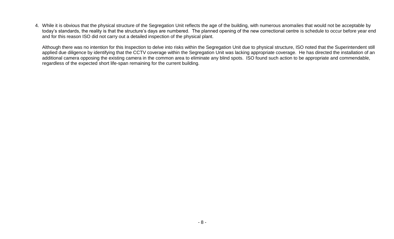4. While it is obvious that the physical structure of the Segregation Unit reflects the age of the building, with numerous anomalies that would not be acceptable by today's standards, the reality is that the structure's days are numbered. The planned opening of the new correctional centre is schedule to occur before year end and for this reason ISO did not carry out a detailed inspection of the physical plant.

Although there was no intention for this Inspection to delve into risks within the Segregation Unit due to physical structure, ISO noted that the Superintendent still applied due diligence by identifying that the CCTV coverage within the Segregation Unit was lacking appropriate coverage. He has directed the installation of an additional camera opposing the existing camera in the common area to eliminate any blind spots. ISO found such action to be appropriate and commendable, regardless of the expected short life-span remaining for the current building.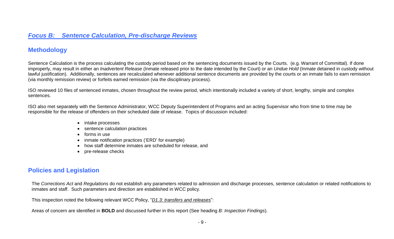### *Focus B: Sentence Calculation, Pre-discharge Reviews*

### **Methodology**

Sentence Calculation is the process calculating the custody period based on the sentencing documents issued by the Courts. (e.g. Warrant of Committal). If done improperly, may result in either an *Inadvertent Release* (Inmate released prior to the date intended by the Court) or an *Undue Hold* (Inmate detained in custody without lawful justification). Additionally, sentences are recalculated whenever additional sentence documents are provided by the courts or an inmate fails to earn remission (via monthly remission review) or forfeits earned remission (via the disciplinary process).

ISO reviewed 10 files of sentenced inmates, chosen throughout the review period, which intentionally included a variety of short, lengthy, simple and complex sentences.

ISO also met separately with the Sentence Administrator, WCC Deputy Superintendent of Programs and an acting Supervisor who from time to time may be responsible for the release of offenders on their scheduled date of release. Topics of discussion included:

- intake processes
- sentence calculation practices
- forms in use
- inmate notification practices ('ERD' for example)
- how staff determine inmates are scheduled for release, and
- pre-release checks

### **Policies and Legislation**

The *Corrections Act* and *Regulations* do not establish any parameters related to admission and discharge processes, sentence calculation or related notifications to inmates and staff. Such parameters and direction are established in WCC policy.

This inspection noted the following relevant WCC Policy, "*D1.3: transfers and releases*":

Areas of concern are identified in **BOLD** and discussed further in this report (See heading *B: Inspection Findings*).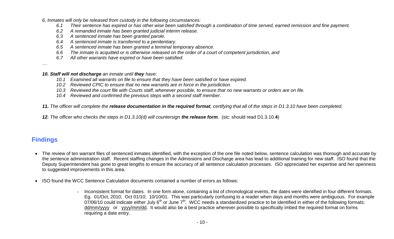*6. Inmates will only be released from custody in the following circumstances:*

- *6.1 Their sentence has expired or has other wise been satisfied through a combination of time served, earned remission and fine payment.*
- *6.2 A remanded inmate has been granted judicial interim release.*
- *6.3 A sentenced inmate has been granted parole.*
- *6.4 A sentenced inmate is transferred to a penitentiary.*
- *6.5 A sentenced inmate has been granted a terminal temporary absence.*
- *6.6 The inmate is acquitted or is otherwise released on the order of a court of competent jurisdiction, and*
- *6.7 All other warrants have expired or have been satisfied.*

*…*

*10. Staff will not discharge an inmate until they have:*

- *10.1 Examined all warrants on file to ensure that they have been satisfied or have expired.*
- *10.2 Reviewed CPIC to ensure that no new warrants are in force in the jurisdiction.*
- *10.3 Reviewed the court file with Courts staff, whenever possible, to ensure that no new warrants or orders are on file.*
- *10.4 Reviewed and confirmed the previous steps with a second staff member.*

*11. The officer will complete the release documentation in the required format, certifying that all of the steps in D1.3.10 have been completed.*

*12. The officer who checks the steps in D1.3.10(d) will countersign the release form.* (sic: should read D1.3.10.**4**)

# **Findings**

- The review of ten warrant files of sentenced inmates identified, with the exception of the one file noted below, sentence calculation was thorough and accurate by the sentence administration staff. Recent staffing changes in the Admissions and Discharge area has lead to additional training for new staff. ISO found that the Deputy Superintendent has gone to great lengths to ensure the accuracy of all sentence calculation processes. ISO appreciated her expertise and her openness to suggested improvements in this area.
- ISO found the WCC Sentence Calculation documents contained a number of errors as follows:
	- Inconsistent format for dates. In one form alone, containing a list of chronological events, the dates were identified in four different formats. Eg. 01/Oct, 2010; Oct 01/10; 10/10/01. This was particularly confusing to a reader when days and months were ambiguous. For example  $07/06/10$  could indicate either July 6<sup>th</sup> or June 7<sup>th</sup>. WCC needs a standardized practice to be identified in either of the following formats: dd/mm/yyyy or yyyy/mm/dd. It would also be a best practice wherever possible to specifically imbed the required format on forms requiring a date entry.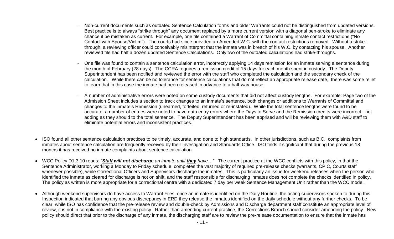- Non-current documents such as outdated Sentence Calculation forms and older Warrants could not be distinguished from updated versions. Best practice is to always "strike through" any document replaced by a more current version with a diagonal pen-stroke to eliminate any chance it be mistaken as current. For example, one file contained a Warrant of Committal containing inmate contact restrictions ("No Contact with Spouse/Victim"). The courts had since provided an Amended W.C. with the contact restrictions removed. Without a strikethrough, a reviewing officer could conceivably misinterpret that the inmate was in breach of his W.C. by contacting his spouse. Another reviewed file had half a dozen updated Sentence Calculations. Only two of the outdated calculations had strike-throughs.
- One file was found to contain a sentence calculation error, incorrectly applying 14 days remission for an inmate serving a sentence during the month of February (28 days). The CCRA requires a remission credit of 15 days for each month spent in custody. The Deputy Superintendent has been notified and reviewed the error with the staff who completed the calculation and the secondary check of the calculation. While there can be no tolerance for sentence calculations that do not reflect an appropriate release date, there was some relief to learn that in this case the inmate had been released in advance to a half-way house.
- A number of administrative errors were noted on some custody documents that did not affect custody lengths. For example: Page two of the Admission Sheet includes a section to track changes to an inmate's sentence, both changes or additions to Warrants of Committal and changes to the inmate's Remission (unearned, forfeited, returned or re-instated). While the total sentence lengths were found to be accurate, a number of entries were noted to have data entry errors where the Days to Serve and the Remission credits were incorrect - not adding as they should to the total sentence. The Deputy Superintendent has been apprised and will be reviewing them with A&D staff to eliminate potential errors and inconsistent practices.
- ISO found all other sentence calculation practices to be timely, accurate, and done to high standards. In other jurisdictions, such as B.C., complaints from inmates about sentence calculation are frequently received by their Investigation and Standards Office. ISO finds it significant that during the previous 18 months it has received no inmate complaints about sentence calculation.
- WCC Policy D1.3.10 reads: *"Staff will not discharge an inmate until they have…"* The current practice at the WCC conflicts with this policy, in that the Sentence Administrator, working a Monday to Friday schedule, completes the vast majority of required pre-release checks (warrants, CPIC, Courts staff whenever possible), while Correctional Officers and Supervisors discharge the inmates. This is particularly an issue for weekend releases when the person who identified the inmate as cleared for discharge is not on shift, and the staff responsible for discharging inmates does not complete the checks identified in policy. The policy as written is more appropriate for a correctional centre with a dedicated 7 day per week Sentence Management Unit rather than the WCC model.
- Although weekend supervisors do have access to Warrant Files, once an inmate is identified on the Daily Routine, the acting supervisors spoken to during this Inspection indicated that barring any obvious discrepancy in ERD they release the inmates identified on the daily schedule without any further checks. To be clear, while ISO has confidence that the pre-release review and double-check by Admissions and Discharge department staff constitute an appropriate level of review, it is not in compliance with the existing policy. Rather than amending current practice, the Corrections Branch should consider amending the policy. New policy should direct that prior to the discharge of any inmate, the discharging staff are to review the pre-release documentation to ensure that the inmate has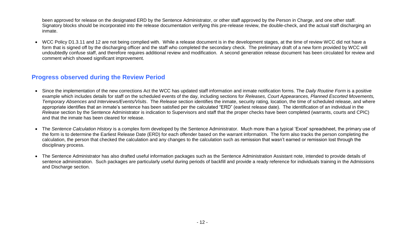been approved for release on the designated ERD by the Sentence Administrator, or other staff approved by the Person in Charge, and one other staff. Signatory blocks should be incorporated into the release documentation verifying this pre-release review, the double-check, and the actual staff discharging an inmate.

 WCC Policy D1.3.11 and 12 are not being complied with. While a release document is in the development stages, at the time of review WCC did not have a form that is signed off by the discharging officer and the staff who completed the secondary check. The preliminary draft of a new form provided by WCC will undoubtedly confuse staff, and therefore requires additional review and modification. A second generation release document has been circulated for review and comment which showed significant improvement.

#### **Progress observed during the Review Period**

- Since the implementation of the new corrections Act the WCC has updated staff information and inmate notification forms. The *Daily Routine Form* is a positive example which includes details for staff on the scheduled events of the day, including sections for *Releases, Court Appearances, Planned Escorted Movements, Temporary Absences and Interviews/Events/Visits*. The *Release* section identifies the inmate, security rating, location, the time of scheduled release, and where appropriate identifies that an inmate's sentence has been satisfied per the calculated "ERD" (earliest release date). The identification of an individual in the *Release* section by the Sentence Administrator is indication to Supervisors and staff that the proper checks have been completed (warrants, courts and CPIC) and that the inmate has been cleared for release.
- The *Sentence Calculation History* is a complex form developed by the Sentence Administrator. Much more than a typical 'Excel' spreadsheet, the primary use of the form is to determine the Earliest Release Date (ERD) for each offender based on the warrant information. The form also tracks the person completing the calculation, the person that checked the calculation and any changes to the calculation such as remission that wasn't earned or remission lost through the disciplinary process.
- The Sentence Administrator has also drafted useful information packages such as the Sentence Administration Assistant note, intended to provide details of sentence administration. Such packages are particularly useful during periods of backfill and provide a ready reference for individuals training in the Admissions and Discharge section.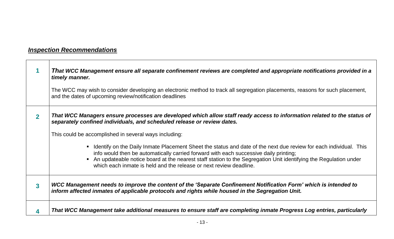# *Inspection Recommendations*

|   | That WCC Management ensure all separate confinement reviews are completed and appropriate notifications provided in a<br>timely manner.<br>The WCC may wish to consider developing an electronic method to track all segregation placements, reasons for such placement,<br>and the dates of upcoming review/notification deadlines                                                                                                                                                                                                                                                                                                                                     |
|---|-------------------------------------------------------------------------------------------------------------------------------------------------------------------------------------------------------------------------------------------------------------------------------------------------------------------------------------------------------------------------------------------------------------------------------------------------------------------------------------------------------------------------------------------------------------------------------------------------------------------------------------------------------------------------|
|   | That WCC Managers ensure processes are developed which allow staff ready access to information related to the status of<br>separately confined individuals, and scheduled release or review dates.<br>This could be accomplished in several ways including:<br>• Identify on the Daily Inmate Placement Sheet the status and date of the next due review for each individual. This<br>info would then be automatically carried forward with each successive daily printing;<br>• An updateable notice board at the nearest staff station to the Segregation Unit identifying the Regulation under<br>which each inmate is held and the release or next review deadline. |
| 3 | WCC Management needs to improve the content of the 'Separate Confinement Notification Form' which is intended to<br>inform affected inmates of applicable protocols and rights while housed in the Segregation Unit.                                                                                                                                                                                                                                                                                                                                                                                                                                                    |
|   | That WCC Management take additional measures to ensure staff are completing inmate Progress Log entries, particularly                                                                                                                                                                                                                                                                                                                                                                                                                                                                                                                                                   |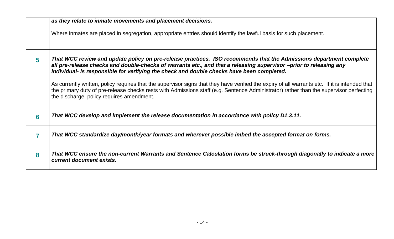|   | as they relate to inmate movements and placement decisions.                                                                                                                                                                                                                                                                                                                                                                                                                                                                                                                                                                                                                    |
|---|--------------------------------------------------------------------------------------------------------------------------------------------------------------------------------------------------------------------------------------------------------------------------------------------------------------------------------------------------------------------------------------------------------------------------------------------------------------------------------------------------------------------------------------------------------------------------------------------------------------------------------------------------------------------------------|
|   | Where inmates are placed in segregation, appropriate entries should identify the lawful basis for such placement.                                                                                                                                                                                                                                                                                                                                                                                                                                                                                                                                                              |
| 5 | That WCC review and update policy on pre-release practices. ISO recommends that the Admissions department complete<br>all pre-release checks and double-checks of warrants etc., and that a releasing supervisor –prior to releasing any<br>individual- is responsible for verifying the check and double checks have been completed.<br>As currently written, policy requires that the supervisor signs that they have verified the expiry of all warrants etc. If it is intended that<br>the primary duty of pre-release checks rests with Admissions staff (e.g. Sentence Administrator) rather than the supervisor perfecting<br>the discharge, policy requires amendment. |
| 6 | That WCC develop and implement the release documentation in accordance with policy D1.3.11.                                                                                                                                                                                                                                                                                                                                                                                                                                                                                                                                                                                    |
|   | That WCC standardize day/month/year formats and wherever possible imbed the accepted format on forms.                                                                                                                                                                                                                                                                                                                                                                                                                                                                                                                                                                          |
| 8 | That WCC ensure the non-current Warrants and Sentence Calculation forms be struck-through diagonally to indicate a more<br>current document exists.                                                                                                                                                                                                                                                                                                                                                                                                                                                                                                                            |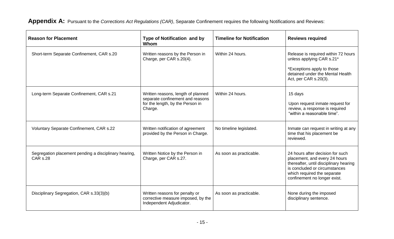**Appendix A:** Pursuant to the *Corrections Act Regulations (CAR)*, Separate Confinement requires the following Notifications and Reviews:

| <b>Reason for Placement</b>                                              | <b>Type of Notification and by</b><br>Whom                                                                            | <b>Timeline for Notification</b> | <b>Reviews required</b>                                                                                                                                                                                     |
|--------------------------------------------------------------------------|-----------------------------------------------------------------------------------------------------------------------|----------------------------------|-------------------------------------------------------------------------------------------------------------------------------------------------------------------------------------------------------------|
| Short-term Separate Confinement, CAR s.20                                | Written reasons by the Person in<br>Charge, per CAR s.20(4).                                                          | Within 24 hours.                 | Release is required within 72 hours<br>unless applying CAR s.21*<br>*Exceptions apply to those<br>detained under the Mental Health<br>Act, per CAR s.20(3).                                                 |
| Long-term Separate Confinement, CAR s.21                                 | Written reasons, length of planned<br>separate confinement and reasons<br>for the length, by the Person in<br>Charge. | Within 24 hours.                 | 15 days<br>Upon request inmate request for<br>review, a response is required<br>"within a reasonable time".                                                                                                 |
| Voluntary Separate Confinement, CAR s.22                                 | Written notification of agreement<br>provided by the Person in Charge.                                                | No timeline legislated.          | Inmate can request in writing at any<br>time that his placement be<br>reviewed.                                                                                                                             |
| Segregation placement pending a disciplinary hearing,<br><b>CAR s.28</b> | Written Notice by the Person in<br>Charge, per CAR s.27.                                                              | As soon as practicable.          | 24 hours after decision for such<br>placement, and every 24 hours<br>thereafter, until disciplinary hearing<br>is concluded or circumstances<br>which required the separate<br>confinement no longer exist. |
| Disciplinary Segregation, CAR s.33(3)(b)                                 | Written reasons for penalty or<br>corrective measure imposed, by the<br>Independent Adjudicator.                      | As soon as practicable.          | None during the imposed<br>disciplinary sentence.                                                                                                                                                           |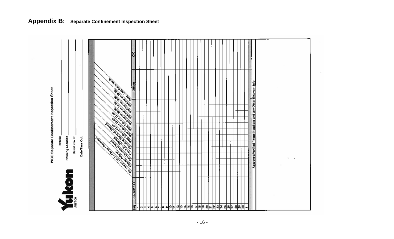

# **Appendix B: Separate Confinement Inspection Sheet**